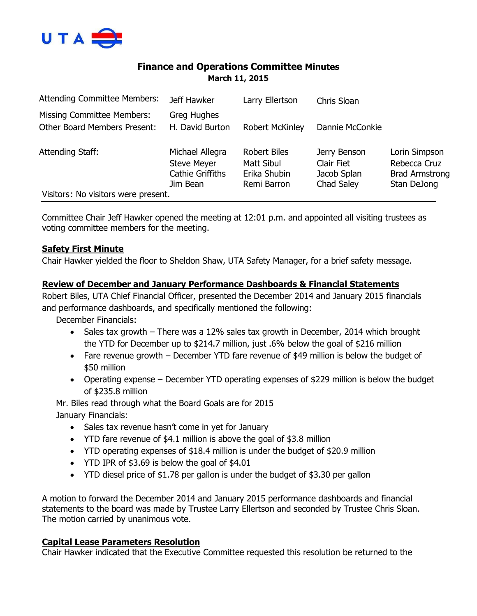

# **Finance and Operations Committee Minutes March 11, 2015**

| <b>Attending Committee Members:</b>                               | Jeff Hawker                                                                  | Larry Ellertson                                                  | Chris Sloan                                             |                                                                       |
|-------------------------------------------------------------------|------------------------------------------------------------------------------|------------------------------------------------------------------|---------------------------------------------------------|-----------------------------------------------------------------------|
| Missing Committee Members:<br><b>Other Board Members Present:</b> | Greg Hughes<br>H. David Burton                                               | <b>Robert McKinley</b>                                           | Dannie McConkie                                         |                                                                       |
| Attending Staff:                                                  | Michael Allegra<br><b>Steve Meyer</b><br><b>Cathie Griffiths</b><br>Jim Bean | <b>Robert Biles</b><br>Matt Sibul<br>Erika Shubin<br>Remi Barron | Jerry Benson<br>Clair Fiet<br>Jacob Splan<br>Chad Saley | Lorin Simpson<br>Rebecca Cruz<br><b>Brad Armstrong</b><br>Stan DeJong |
| Visitors: No visitors were present.                               |                                                                              |                                                                  |                                                         |                                                                       |

Committee Chair Jeff Hawker opened the meeting at 12:01 p.m. and appointed all visiting trustees as voting committee members for the meeting.

### **Safety First Minute**

Chair Hawker yielded the floor to Sheldon Shaw, UTA Safety Manager, for a brief safety message.

### **Review of December and January Performance Dashboards & Financial Statements**

Robert Biles, UTA Chief Financial Officer, presented the December 2014 and January 2015 financials and performance dashboards, and specifically mentioned the following:

December Financials:

- Sales tax growth  $-$  There was a 12% sales tax growth in December, 2014 which brought the YTD for December up to \$214.7 million, just .6% below the goal of \$216 million
- Fare revenue growth December YTD fare revenue of \$49 million is below the budget of \$50 million
- Operating expense December YTD operating expenses of \$229 million is below the budget of \$235.8 million

Mr. Biles read through what the Board Goals are for 2015 January Financials:

- Sales tax revenue hasn't come in yet for January
- YTD fare revenue of \$4.1 million is above the goal of \$3.8 million
- YTD operating expenses of \$18.4 million is under the budget of \$20.9 million
- YTD IPR of \$3.69 is below the goal of \$4.01
- YTD diesel price of \$1.78 per gallon is under the budget of \$3.30 per gallon

A motion to forward the December 2014 and January 2015 performance dashboards and financial statements to the board was made by Trustee Larry Ellertson and seconded by Trustee Chris Sloan. The motion carried by unanimous vote.

### **Capital Lease Parameters Resolution**

Chair Hawker indicated that the Executive Committee requested this resolution be returned to the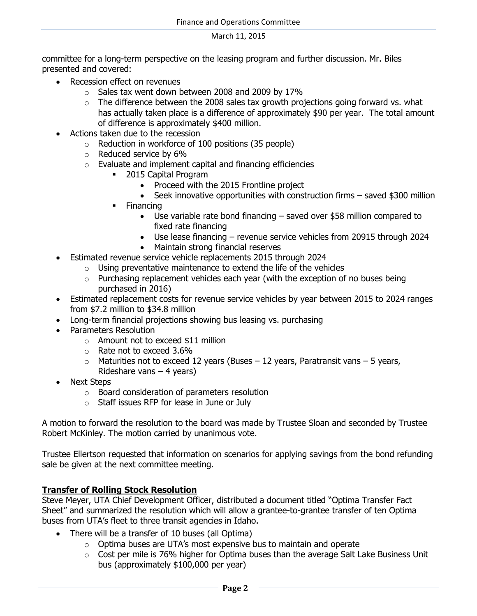committee for a long-term perspective on the leasing program and further discussion. Mr. Biles presented and covered:

- Recession effect on revenues
	- $\circ$  Sales tax went down between 2008 and 2009 by 17%
	- $\circ$  The difference between the 2008 sales tax growth projections going forward vs. what has actually taken place is a difference of approximately \$90 per year. The total amount of difference is approximately \$400 million.
- Actions taken due to the recession
	- $\circ$  Reduction in workforce of 100 positions (35 people)
	- o Reduced service by 6%
	- $\circ$  Evaluate and implement capital and financing efficiencies
		- **2015 Capital Program** 
			- Proceed with the 2015 Frontline project
			- $\bullet$  Seek innovative opportunities with construction firms  $-$  saved \$300 million
			- Financing
				- Use variable rate bond financing saved over \$58 million compared to fixed rate financing
				- Use lease financing revenue service vehicles from 20915 through 2024
				- Maintain strong financial reserves
- Estimated revenue service vehicle replacements 2015 through 2024
	- $\circ$  Using preventative maintenance to extend the life of the vehicles
	- o Purchasing replacement vehicles each year (with the exception of no buses being purchased in 2016)
- Estimated replacement costs for revenue service vehicles by year between 2015 to 2024 ranges from \$7.2 million to \$34.8 million
- Long-term financial projections showing bus leasing vs. purchasing
- Parameters Resolution
	- o Amount not to exceed \$11 million
	- o Rate not to exceed 3.6%
	- $\circ$  Maturities not to exceed 12 years (Buses 12 years, Paratransit vans 5 years, Rideshare vans – 4 years)
- Next Steps
	- o Board consideration of parameters resolution
	- o Staff issues RFP for lease in June or July

A motion to forward the resolution to the board was made by Trustee Sloan and seconded by Trustee Robert McKinley. The motion carried by unanimous vote.

Trustee Ellertson requested that information on scenarios for applying savings from the bond refunding sale be given at the next committee meeting.

# **Transfer of Rolling Stock Resolution**

Steve Meyer, UTA Chief Development Officer, distributed a document titled "Optima Transfer Fact Sheet" and summarized the resolution which will allow a grantee-to-grantee transfer of ten Optima buses from UTA's fleet to three transit agencies in Idaho.

- There will be a transfer of 10 buses (all Optima)
	- $\circ$  Optima buses are UTA's most expensive bus to maintain and operate
	- $\circ$  Cost per mile is 76% higher for Optima buses than the average Salt Lake Business Unit bus (approximately \$100,000 per year)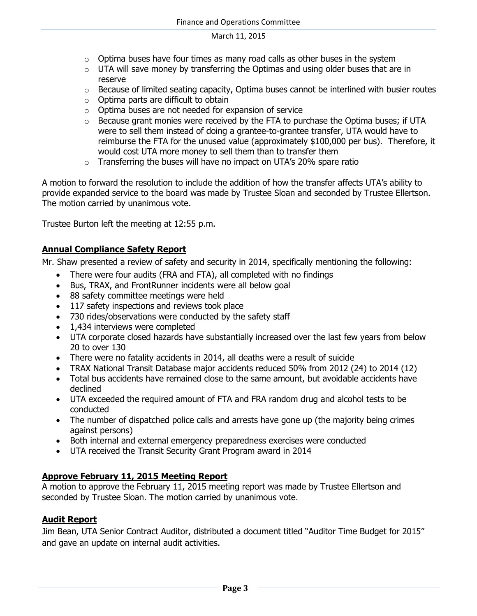- $\circ$  Optima buses have four times as many road calls as other buses in the system
- $\circ$  UTA will save money by transferring the Optimas and using older buses that are in reserve
- $\circ$  Because of limited seating capacity, Optima buses cannot be interlined with busier routes
- o Optima parts are difficult to obtain
- o Optima buses are not needed for expansion of service
- $\circ$  Because grant monies were received by the FTA to purchase the Optima buses; if UTA were to sell them instead of doing a grantee-to-grantee transfer, UTA would have to reimburse the FTA for the unused value (approximately \$100,000 per bus). Therefore, it would cost UTA more money to sell them than to transfer them
- $\circ$  Transferring the buses will have no impact on UTA's 20% spare ratio

A motion to forward the resolution to include the addition of how the transfer affects UTA's ability to provide expanded service to the board was made by Trustee Sloan and seconded by Trustee Ellertson. The motion carried by unanimous vote.

Trustee Burton left the meeting at 12:55 p.m.

# **Annual Compliance Safety Report**

Mr. Shaw presented a review of safety and security in 2014, specifically mentioning the following:

- There were four audits (FRA and FTA), all completed with no findings
- Bus, TRAX, and FrontRunner incidents were all below goal
- 88 safety committee meetings were held
- 117 safety inspections and reviews took place
- 730 rides/observations were conducted by the safety staff
- 1,434 interviews were completed
- UTA corporate closed hazards have substantially increased over the last few years from below 20 to over 130
- There were no fatality accidents in 2014, all deaths were a result of suicide
- TRAX National Transit Database major accidents reduced 50% from 2012 (24) to 2014 (12)
- Total bus accidents have remained close to the same amount, but avoidable accidents have declined
- UTA exceeded the required amount of FTA and FRA random drug and alcohol tests to be conducted
- The number of dispatched police calls and arrests have gone up (the majority being crimes against persons)
- Both internal and external emergency preparedness exercises were conducted
- UTA received the Transit Security Grant Program award in 2014

# **Approve February 11, 2015 Meeting Report**

A motion to approve the February 11, 2015 meeting report was made by Trustee Ellertson and seconded by Trustee Sloan. The motion carried by unanimous vote.

# **Audit Report**

Jim Bean, UTA Senior Contract Auditor, distributed a document titled "Auditor Time Budget for 2015" and gave an update on internal audit activities.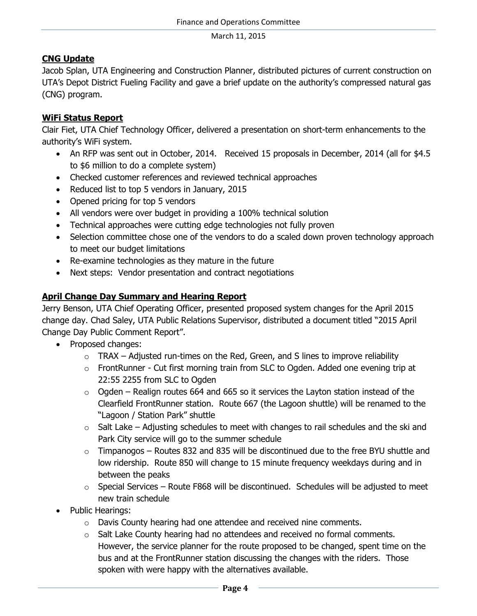# **CNG Update**

Jacob Splan, UTA Engineering and Construction Planner, distributed pictures of current construction on UTA's Depot District Fueling Facility and gave a brief update on the authority's compressed natural gas (CNG) program.

# **WiFi Status Report**

Clair Fiet, UTA Chief Technology Officer, delivered a presentation on short-term enhancements to the authority's WiFi system.

- An RFP was sent out in October, 2014. Received 15 proposals in December, 2014 (all for \$4.5 to \$6 million to do a complete system)
- Checked customer references and reviewed technical approaches
- Reduced list to top 5 vendors in January, 2015
- Opened pricing for top 5 vendors
- All vendors were over budget in providing a 100% technical solution
- Technical approaches were cutting edge technologies not fully proven
- Selection committee chose one of the vendors to do a scaled down proven technology approach to meet our budget limitations
- Re-examine technologies as they mature in the future
- Next steps: Vendor presentation and contract negotiations

# **April Change Day Summary and Hearing Report**

Jerry Benson, UTA Chief Operating Officer, presented proposed system changes for the April 2015 change day. Chad Saley, UTA Public Relations Supervisor, distributed a document titled "2015 April Change Day Public Comment Report".

- Proposed changes:
	- $\circ$  TRAX Adjusted run-times on the Red, Green, and S lines to improve reliability
	- o FrontRunner Cut first morning train from SLC to Ogden. Added one evening trip at 22:55 2255 from SLC to Ogden
	- $\circ$  Ogden Realign routes 664 and 665 so it services the Layton station instead of the Clearfield FrontRunner station. Route 667 (the Lagoon shuttle) will be renamed to the "Lagoon / Station Park" shuttle
	- $\circ$  Salt Lake Adjusting schedules to meet with changes to rail schedules and the ski and Park City service will go to the summer schedule
	- $\circ$  Timpanogos Routes 832 and 835 will be discontinued due to the free BYU shuttle and low ridership. Route 850 will change to 15 minute frequency weekdays during and in between the peaks
	- $\circ$  Special Services Route F868 will be discontinued. Schedules will be adjusted to meet new train schedule
- Public Hearings:
	- o Davis County hearing had one attendee and received nine comments.
	- o Salt Lake County hearing had no attendees and received no formal comments. However, the service planner for the route proposed to be changed, spent time on the bus and at the FrontRunner station discussing the changes with the riders. Those spoken with were happy with the alternatives available.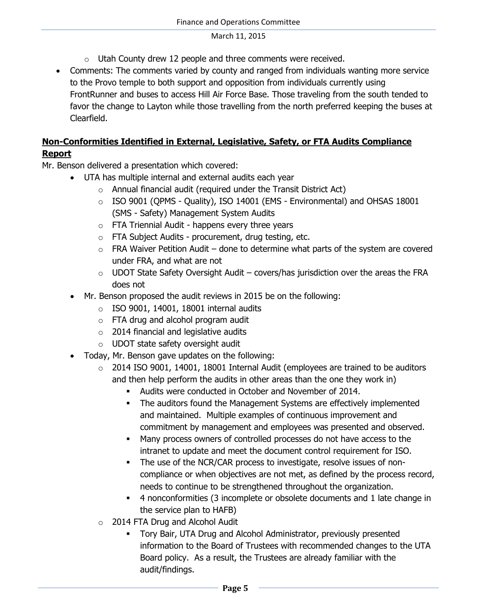- $\circ$  Utah County drew 12 people and three comments were received.
- Comments: The comments varied by county and ranged from individuals wanting more service to the Provo temple to both support and opposition from individuals currently using FrontRunner and buses to access Hill Air Force Base. Those traveling from the south tended to favor the change to Layton while those travelling from the north preferred keeping the buses at Clearfield.

# **Non-Conformities Identified in External, Legislative, Safety, or FTA Audits Compliance Report**

- Mr. Benson delivered a presentation which covered:
	- UTA has multiple internal and external audits each year
		- $\circ$  Annual financial audit (required under the Transit District Act)
			- o ISO 9001 (QPMS Quality), ISO 14001 (EMS Environmental) and OHSAS 18001 (SMS - Safety) Management System Audits
			- $\circ$  FTA Triennial Audit happens every three years
			- o FTA Subject Audits procurement, drug testing, etc.
			- $\circ$  FRA Waiver Petition Audit done to determine what parts of the system are covered under FRA, and what are not
			- $\circ$  UDOT State Safety Oversight Audit covers/has jurisdiction over the areas the FRA does not
	- Mr. Benson proposed the audit reviews in 2015 be on the following:
		- $\circ$  ISO 9001, 14001, 18001 internal audits
		- o FTA drug and alcohol program audit
		- $\circ$  2014 financial and legislative audits
		- o UDOT state safety oversight audit
	- Today, Mr. Benson gave updates on the following:
		- o 2014 ISO 9001, 14001, 18001 Internal Audit (employees are trained to be auditors and then help perform the audits in other areas than the one they work in)
			- Audits were conducted in October and November of 2014.
			- The auditors found the Management Systems are effectively implemented and maintained. Multiple examples of continuous improvement and commitment by management and employees was presented and observed.
			- Many process owners of controlled processes do not have access to the intranet to update and meet the document control requirement for ISO.
			- The use of the NCR/CAR process to investigate, resolve issues of noncompliance or when objectives are not met, as defined by the process record, needs to continue to be strengthened throughout the organization.
			- 4 nonconformities (3 incomplete or obsolete documents and 1 late change in the service plan to HAFB)
		- o 2014 FTA Drug and Alcohol Audit
			- Tory Bair, UTA Drug and Alcohol Administrator, previously presented information to the Board of Trustees with recommended changes to the UTA Board policy. As a result, the Trustees are already familiar with the audit/findings.